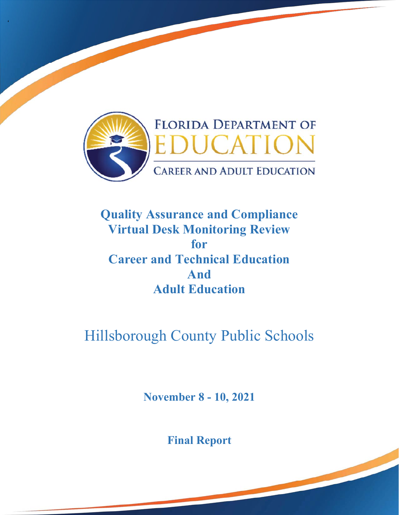

'

# **Quality Assurance and Compliance Virtual Desk Monitoring Review for Career and Technical Education And Adult Education**

# Hillsborough County Public Schools

**November 8 - 10, 2021** 

**Final Report**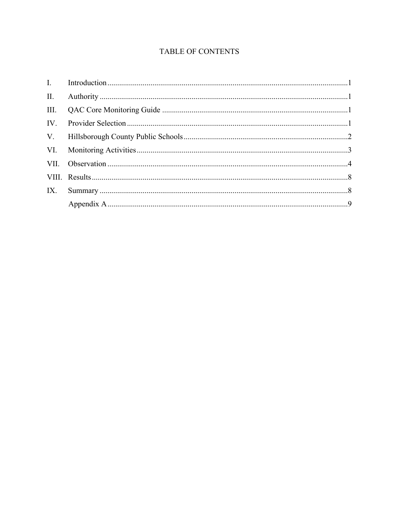# TABLE OF CONTENTS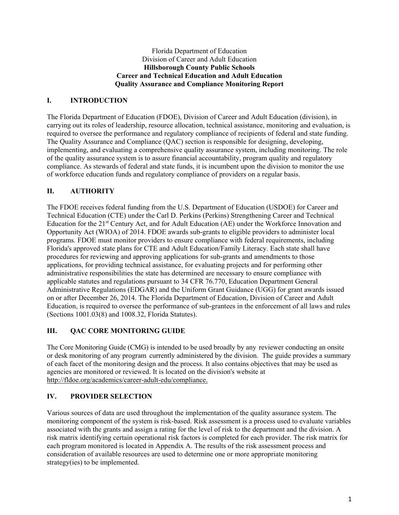#### Florida Department of Education Division of Career and Adult Education **Hillsborough County Public Schools Career and Technical Education and Adult Education Quality Assurance and Compliance Monitoring Report**

# **I. INTRODUCTION**

 required to oversee the performance and regulatory compliance of recipients of federal and state funding. The Florida Department of Education (FDOE), Division of Career and Adult Education (division), in carrying out its roles of leadership, resource allocation, technical assistance, monitoring and evaluation, is The Quality Assurance and Compliance (QAC) section is responsible for designing, developing, implementing, and evaluating a comprehensive quality assurance system, including monitoring. The role of the quality assurance system is to assure financial accountability, program quality and regulatory compliance. As stewards of federal and state funds, it is incumbent upon the division to monitor the use of workforce education funds and regulatory compliance of providers on a regular basis.

# **II. AUTHORITY**

The FDOE receives federal funding from the U.S. Department of Education (USDOE) for Career and Technical Education (CTE) under the Carl D. Perkins (Perkins) Strengthening Career and Technical Education for the 21st Century Act, and for Adult Education (AE) under the Workforce Innovation and Opportunity Act (WIOA) of 2014. FDOE awards sub-grants to eligible providers to administer local programs. FDOE must monitor providers to ensure compliance with federal requirements, including Florida's approved state plans for CTE and Adult Education/Family Literacy. Each state shall have procedures for reviewing and approving applications for sub-grants and amendments to those applications, for providing technical assistance, for evaluating projects and for performing other administrative responsibilities the state has determined are necessary to ensure compliance with applicable statutes and regulations pursuant to 34 CFR 76.770, Education Department General Administrative Regulations (EDGAR) and the Uniform Grant Guidance (UGG) for grant awards issued on or after December 26, 2014. The Florida Department of Education, Division of Career and Adult Education, is required to oversee the performance of sub-grantees in the enforcement of all laws and rules (Sections 1001.03(8) and 1008.32, Florida Statutes).

# **III. QAC CORE MONITORING GUIDE**

 The Core Monitoring Guide (CMG) is intended to be used broadly by any reviewer conducting an onsite or desk monitoring of any program currently administered by the division. The guide provides a summary of each facet of the monitoring design and the process. It also contains objectives that may be used as agencies are monitored or reviewed. It is located on the division's website at http://fldoe.org/academics/career-adult-edu/compliance.

# **IV. PROVIDER SELECTION**

Various sources of data are used throughout the implementation of the quality assurance system. The monitoring component of the system is risk-based. Risk assessment is a process used to evaluate variables associated with the grants and assign a rating for the level of risk to the department and the division. A risk matrix identifying certain operational risk factors is completed for each provider. The risk matrix for each program monitored is located in Appendix A. The results of the risk assessment process and consideration of available resources are used to determine one or more appropriate monitoring strategy(ies) to be implemented.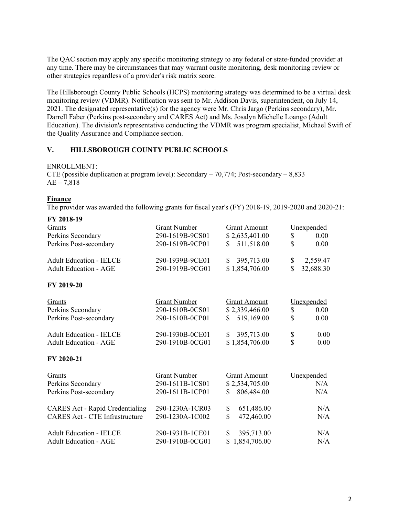The QAC section may apply any specific monitoring strategy to any federal or state-funded provider at any time. There may be circumstances that may warrant onsite monitoring, desk monitoring review or other strategies regardless of a provider's risk matrix score.

The Hillsborough County Public Schools (HCPS) monitoring strategy was determined to be a virtual desk monitoring review (VDMR). Notification was sent to Mr. Addison Davis, superintendent, on July 14, 2021. The designated representative(s) for the agency were Mr. Chris Jargo (Perkins secondary), Mr. Darrell Faber (Perkins post-secondary and CARES Act) and Ms. Josalyn Michelle Loango (Adult Education). The division's representative conducting the VDMR was program specialist, Michael Swift of the Quality Assurance and Compliance section.

# **V. HILLSBOROUGH COUNTY PUBLIC SCHOOLS**

#### ENROLLMENT:

CTE (possible duplication at program level): Secondary  $-70,774$ ; Post-secondary  $-8,833$  $AE - 7,818$ 

#### **Finance**

The provider was awarded the following grants for fiscal year's (FY) 2018-19, 2019-2020 and 2020-21:

| FY 2018-19                             |                     |                              |                 |
|----------------------------------------|---------------------|------------------------------|-----------------|
| Grants                                 | <b>Grant Number</b> | <b>Grant Amount</b>          | Unexpended      |
| Perkins Secondary                      | 290-1619B-9CS01     | \$2,635,401.00               | \$<br>0.00      |
| Perkins Post-secondary                 | 290-1619B-9CP01     | 511,518.00<br>$\mathbb{S}^-$ | \$<br>0.00      |
| <b>Adult Education - IELCE</b>         | 290-1939B-9CE01     | 395,713.00<br>\$             | \$<br>2,559.47  |
| <b>Adult Education - AGE</b>           | 290-1919B-9CG01     | \$1,854,706.00               | \$<br>32,688.30 |
| FY 2019-20                             |                     |                              |                 |
| Grants                                 | <b>Grant Number</b> | <b>Grant Amount</b>          | Unexpended      |
| Perkins Secondary                      | 290-1610B-0CS01     | \$2,339,466.00               | \$<br>0.00      |
| Perkins Post-secondary                 | 290-1610B-0CP01     | 519,169.00<br>S.             | \$<br>0.00      |
| <b>Adult Education - IELCE</b>         | 290-1930B-0CE01     | 395,713.00<br>$\mathbb{S}^-$ | \$<br>0.00      |
| <b>Adult Education - AGE</b>           | 290-1910B-0CG01     | \$1,854,706.00               | \$<br>0.00      |
| FY 2020-21                             |                     |                              |                 |
| Grants                                 | <b>Grant Number</b> | <b>Grant Amount</b>          | Unexpended      |
| Perkins Secondary                      | 290-1611B-1CS01     | \$2,534,705.00               | N/A             |
| Perkins Post-secondary                 | 290-1611B-1CP01     | 806,484.00<br>\$             | N/A             |
| <b>CARES Act - Rapid Credentialing</b> | 290-1230A-1CR03     | \$<br>651,486.00             | N/A             |
| <b>CARES Act - CTE Infrastructure</b>  | 290-1230A-1C002     | $\mathbf S$<br>472,460.00    | N/A             |
| <b>Adult Education - IELCE</b>         | 290-1931B-1CE01     | \$<br>395,713.00             | N/A             |
| <b>Adult Education - AGE</b>           | 290-1910B-0CG01     | 1,854,706.00<br>\$           | N/A             |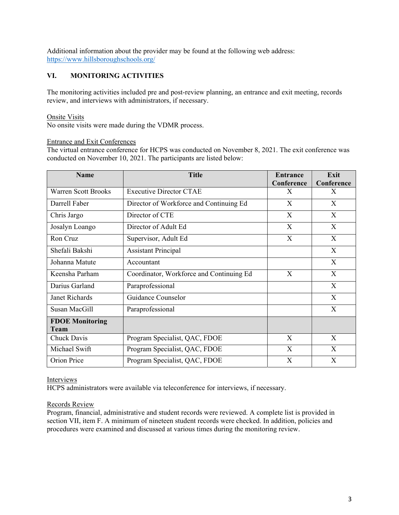https://www.hillsboroughschools.org/ Additional information about the provider may be found at the following web address:

# **VI. MONITORING ACTIVITIES**

 review, and interviews with administrators, if necessary. The monitoring activities included pre and post-review planning, an entrance and exit meeting, records

#### Onsite Visits

No onsite visits were made during the VDMR process.

#### Entrance and Exit Conferences

The virtual entrance conference for HCPS was conducted on November 8, 2021. The exit conference was conducted on November 10, 2021. The participants are listed below:

| <b>Name</b>                    | <b>Title</b>                             | <b>Entrance</b><br>Conference | Exit<br>Conference |
|--------------------------------|------------------------------------------|-------------------------------|--------------------|
| <b>Warren Scott Brooks</b>     | <b>Executive Director CTAE</b>           | X                             | X                  |
| Darrell Faber                  | Director of Workforce and Continuing Ed  | X                             | X                  |
| Chris Jargo                    | Director of CTE                          | X                             | X                  |
| Josalyn Loango                 | Director of Adult Ed                     | X                             | X                  |
| Ron Cruz                       | Supervisor, Adult Ed                     | X                             | X                  |
| Shefali Bakshi                 | <b>Assistant Principal</b>               |                               | X                  |
| Johanna Matute                 | Accountant                               |                               | X                  |
| Keensha Parham                 | Coordinator, Workforce and Continuing Ed | X                             | X                  |
| Darius Garland                 | Paraprofessional                         |                               | X                  |
| <b>Janet Richards</b>          | Guidance Counselor                       |                               | X                  |
| Susan MacGill                  | Paraprofessional                         |                               | X                  |
| <b>FDOE Monitoring</b><br>Team |                                          |                               |                    |
| Chuck Davis                    | Program Specialist, QAC, FDOE            | $\mathbf{X}$                  | X                  |
| Michael Swift                  | Program Specialist, QAC, FDOE            | X                             | $\mathbf{X}$       |
| Orion Price                    | Program Specialist, QAC, FDOE            | $\mathbf{X}$                  | X                  |

#### Interviews

HCPS administrators were available via teleconference for interviews, if necessary.

#### Records Review

Program, financial, administrative and student records were reviewed. A complete list is provided in section VII, item F. A minimum of nineteen student records were checked. In addition, policies and procedures were examined and discussed at various times during the monitoring review.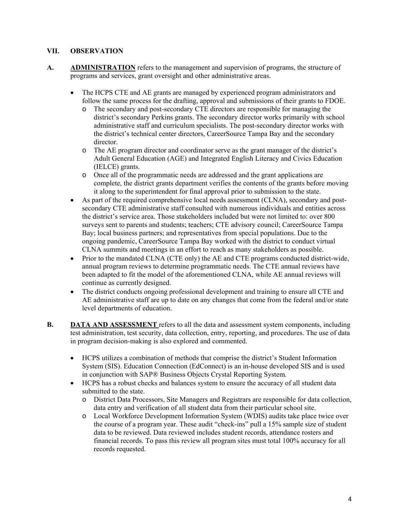#### **VII. OBSERVATION**

- **A. ADMINISTRATION** refers to the management and supervision of programs, the structure of programs and services, grant oversight and other administrative areas.
	- The HCPS CTE and AE grants are managed by experienced program administrators and follow the same process for the drafting, approval and submissions of their grants to FDOE.
		- o The secondary and post-secondary CTE directors are responsible for managing the district's secondary Perkins grants. The secondary director works primarily with school administrative staff and curriculum specialists. The post-secondary director works with the district's technical center directors, CareerSource Tampa Bay and the secondary director.
		- o The AE program director and coordinator serve as the grant manager of the district's Adult General Education (AGE) and Integrated English Literacy and Civics Education (IELCE) grants.
		- o Once all of the programmatic needs are addressed and the grant applications are complete, the district grants department verifies the contents of the grants before moving it along to the superintendent for final approval prior to submission to the state.
	- As part of the required comprehensive local needs assessment (CLNA), secondary and postsecondary CTE administrative staff consulted with numerous individuals and entities across the district's service area. Those stakeholders included but were not limited to: over 800 surveys sent to parents and students; teachers; CTE advisory council; CareerSource Tampa Bay; local business partners; and representatives from special populations. Due to the ongoing pandemic, CareerSource Tampa Bay worked with the district to conduct virtual CLNA summits and meetings in an effort to reach as many stakeholders as possible.
	- Prior to the mandated CLNA (CTE only) the AE and CTE programs conducted district-wide, annual program reviews to determine programmatic needs. The CTE annual reviews have been adapted to fit the model of the aforementioned CLNA, while AE annual reviews will continue as currently designed.
	- The district conducts ongoing professional development and training to ensure all CTE and AE administrative staff are up to date on any changes that come from the federal and/or state level departments of education.
- **B. DATA AND ASSESSMENT** refers to all the data and assessment system components, including test administration, test security, data collection, entry, reporting, and procedures. The use of data in program decision-making is also explored and commented.
	- in conjunction with SAP® Business Objects Crystal Reporting System. HCPS utilizes a combination of methods that comprise the district's Student Information System (SIS). Education Connection (EdConnect) is an in-house developed SIS and is used
	- HCPS has a robust checks and balances system to ensure the accuracy of all student data submitted to the state.
		- o District Data Processors, Site Managers and Registrars are responsible for data collection, data entry and verification of all student data from their particular school site.
		- o Local Workforce Development Information System (WDIS) audits take place twice over the course of a program year. These audit "check-ins" pull a 15% sample size of student data to be reviewed. Data reviewed includes student records, attendance rosters and financial records. To pass this review all program sites must total 100% accuracy for all records requested.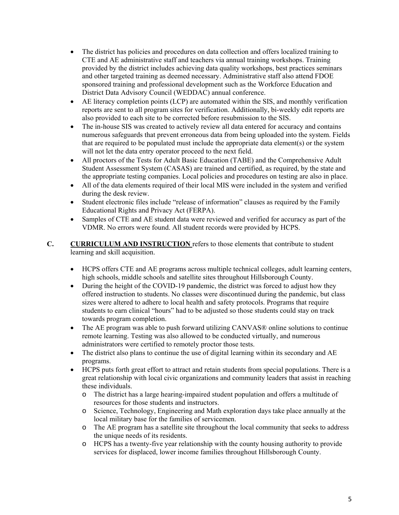- The district has policies and procedures on data collection and offers localized training to CTE and AE administrative staff and teachers via annual training workshops. Training provided by the district includes achieving data quality workshops, best practices seminars and other targeted training as deemed necessary. Administrative staff also attend FDOE sponsored training and professional development such as the Workforce Education and District Data Advisory Council (WEDDAC) annual conference.
- AE literacy completion points (LCP) are automated within the SIS, and monthly verification reports are sent to all program sites for verification. Additionally, bi-weekly edit reports are also provided to each site to be corrected before resubmission to the SIS.
- will not let the data entry operator proceed to the next field. • The in-house SIS was created to actively review all data entered for accuracy and contains numerous safeguards that prevent erroneous data from being uploaded into the system. Fields that are required to be populated must include the appropriate data element(s) or the system
- All proctors of the Tests for Adult Basic Education (TABE) and the Comprehensive Adult Student Assessment System (CASAS) are trained and certified, as required, by the state and the appropriate testing companies. Local policies and procedures on testing are also in place.
- All of the data elements required of their local MIS were included in the system and verified during the desk review.
- Student electronic files include "release of information" clauses as required by the Family Educational Rights and Privacy Act (FERPA).
- VDMR. No errors were found. All student records were provided by HCPS. Samples of CTE and AE student data were reviewed and verified for accuracy as part of the
- **C. CURRICULUM AND INSTRUCTION** refers to those elements that contribute to student learning and skill acquisition.
	- high schools, middle schools and satellite sites throughout Hillsborough County. HCPS offers CTE and AE programs across multiple technical colleges, adult learning centers,
	- During the height of the COVID-19 pandemic, the district was forced to adjust how they offered instruction to students. No classes were discontinued during the pandemic, but class sizes were altered to adhere to local health and safety protocols. Programs that require students to earn clinical "hours" had to be adjusted so those students could stay on track towards program completion.
	- The AE program was able to push forward utilizing CANVAS® online solutions to continue remote learning. Testing was also allowed to be conducted virtually, and numerous administrators were certified to remotely proctor those tests.
	- The district also plans to continue the use of digital learning within its secondary and AE programs.
	- HCPS puts forth great effort to attract and retain students from special populations. There is a great relationship with local civic organizations and community leaders that assist in reaching these individuals.
		- o The district has a large hearing-impaired student population and offers a multitude of resources for those students and instructors.
		- o Science, Technology, Engineering and Math exploration days take place annually at the local military base for the families of servicemen.
		- o The AE program has a satellite site throughout the local community that seeks to address the unique needs of its residents.
		- o HCPS has a twenty-five year relationship with the county housing authority to provide services for displaced, lower income families throughout Hillsborough County.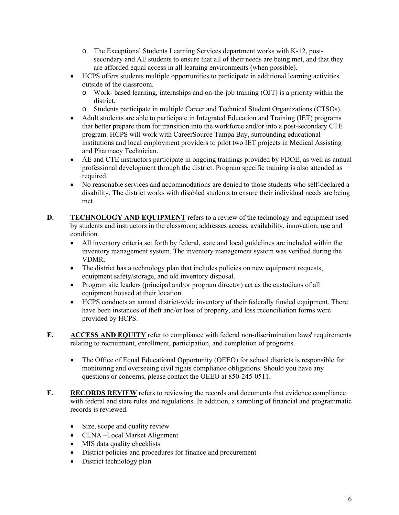- $\circ$  The Exceptional Students Learning Services department works with K-12, postsecondary and AE students to ensure that all of their needs are being met, and that they are afforded equal access in all learning environments (when possible).
- outside of the classroom. HCPS offers students multiple opportunities to participate in additional learning activities
	- o Work- based learning, internships and on-the-job training (OJT) is a priority within the district.
	- o Students participate in multiple Career and Technical Student Organizations (CTSOs).
- Adult students are able to participate in Integrated Education and Training (IET) programs that better prepare them for transition into the workforce and/or into a post-secondary CTE program. HCPS will work with CareerSource Tampa Bay, surrounding educational institutions and local employment providers to pilot two IET projects in Medical Assisting and Pharmacy Technician.
- AE and CTE instructors participate in ongoing trainings provided by FDOE, as well as annual professional development through the district. Program specific training is also attended as required.
- No reasonable services and accommodations are denied to those students who self-declared a disability. The district works with disabled students to ensure their individual needs are being met.
- **D.** TECHNOLOGY AND EQUIPMENT refers to a review of the technology and equipment used by students and instructors in the classroom; addresses access, availability, innovation, use and condition.
	- All inventory criteria set forth by federal, state and local guidelines are included within the inventory management system. The inventory management system was verified during the VDMR.
	- The district has a technology plan that includes policies on new equipment requests, equipment safety/storage, and old inventory disposal.
	- Program site leaders (principal and/or program director) act as the custodians of all equipment housed at their location.
	- provided by HCPS. HCPS conducts an annual district-wide inventory of their federally funded equipment. There have been instances of theft and/or loss of property, and loss reconciliation forms were
- **E. ACCESS AND EQUITY** refer to compliance with federal non-discrimination laws' requirements relating to recruitment, enrollment, participation, and completion of programs.
	- questions or concerns, please contact the OEEO at 850-245-0511. • The Office of Equal Educational Opportunity (OEEO) for school districts is responsible for monitoring and overseeing civil rights compliance obligations. Should you have any
- **F. RECORDS REVIEW** refers to reviewing the records and documents that evidence compliance with federal and state rules and regulations. In addition, a sampling of financial and programmatic records is reviewed.
	- Size, scope and quality review
	- CLNA –Local Market Alignment
	- MIS data quality checklists
	- District policies and procedures for finance and procurement
	- District technology plan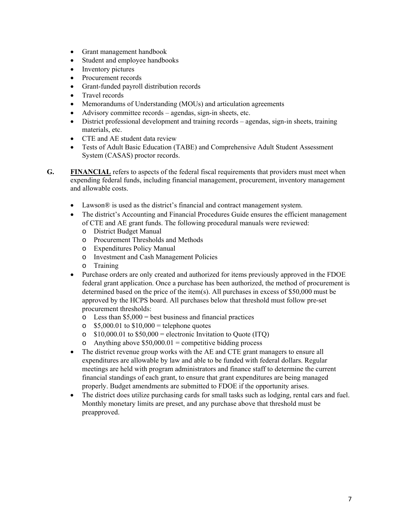- Grant management handbook
- Student and employee handbooks
- Inventory pictures
- Procurement records
- Grant-funded payroll distribution records
- Travel records
- Memorandums of Understanding (MOUs) and articulation agreements
- Advisory committee records agendas, sign-in sheets, etc.
- materials, etc. District professional development and training records – agendas, sign-in sheets, training
- CTE and AE student data review
- Tests of Adult Basic Education (TABE) and Comprehensive Adult Student Assessment System (CASAS) proctor records.
- **G. FINANCIAL** refers to aspects of the federal fiscal requirements that providers must meet when expending federal funds, including financial management, procurement, inventory management and allowable costs.
	- Lawson $\mathcal{R}$  is used as the district's financial and contract management system.
	- The district's Accounting and Financial Procedures Guide ensures the efficient management of CTE and AE grant funds. The following procedural manuals were reviewed:
		- o District Budget Manual
		- o Procurement Thresholds and Methods
		- o Expenditures Policy Manual
		- o Investment and Cash Management Policies
		- o Training
	- Purchase orders are only created and authorized for items previously approved in the FDOE federal grant application. Once a purchase has been authorized, the method of procurement is determined based on the price of the item(s). All purchases in excess of \$50,000 must be approved by the HCPS board. All purchases below that threshold must follow pre-set procurement thresholds:
		- $\circ$  Less than \$5,000 = best business and financial practices
		- $\degree$  \$5,000.01 to \$10,000 = telephone quotes
		- $\degree$  \$10,000.01 to \$50,000 = electronic Invitation to Ouote (ITO)
		- o Anything above  $$50,000.01$  = competitive bidding process
	- The district revenue group works with the AE and CTE grant managers to ensure all expenditures are allowable by law and able to be funded with federal dollars. Regular meetings are held with program administrators and finance staff to determine the current financial standings of each grant, to ensure that grant expenditures are being managed properly. Budget amendments are submitted to FDOE if the opportunity arises.
	- The district does utilize purchasing cards for small tasks such as lodging, rental cars and fuel. Monthly monetary limits are preset, and any purchase above that threshold must be preapproved.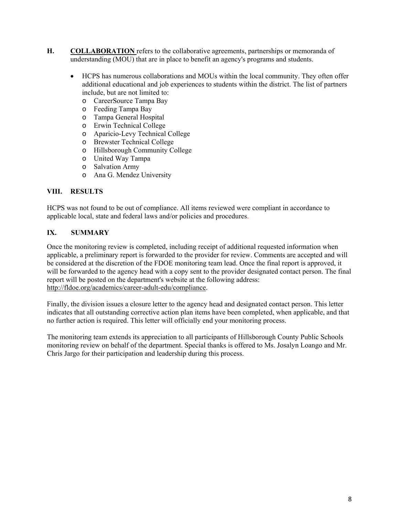- **H. COLLABORATION** refers to the collaborative agreements, partnerships or memoranda of understanding (MOU) that are in place to benefit an agency's programs and students.
	- include, but are not limited to: HCPS has numerous collaborations and MOUs within the local community. They often offer additional educational and job experiences to students within the district. The list of partners
		- o CareerSource Tampa Bay
		- o Feeding Tampa Bay
		- o Tampa General Hospital
		- o Erwin Technical College
		- o Aparicio-Levy Technical College
		- o Brewster Technical College
		- o Hillsborough Community College
		- o United Way Tampa
		- o Salvation Army
		- o Ana G. Mendez University

#### **VIII. RESULTS**

HCPS was not found to be out of compliance. All items reviewed were compliant in accordance to applicable local, state and federal laws and/or policies and procedures.

# **IX. SUMMARY**

Once the monitoring review is completed, including receipt of additional requested information when applicable, a preliminary report is forwarded to the provider for review. Comments are accepted and will be considered at the discretion of the FDOE monitoring team lead. Once the final report is approved, it will be forwarded to the agency head with a copy sent to the provider designated contact person. The final report will be posted on the department's website at the following address: http://fldoe.org/academics/career-adult-edu/compliance.

Finally, the division issues a closure letter to the agency head and designated contact person. This letter indicates that all outstanding corrective action plan items have been completed, when applicable, and that no further action is required. This letter will officially end your monitoring process.

The monitoring team extends its appreciation to all participants of Hillsborough County Public Schools monitoring review on behalf of the department. Special thanks is offered to Ms. Josalyn Loango and Mr. Chris Jargo for their participation and leadership during this process.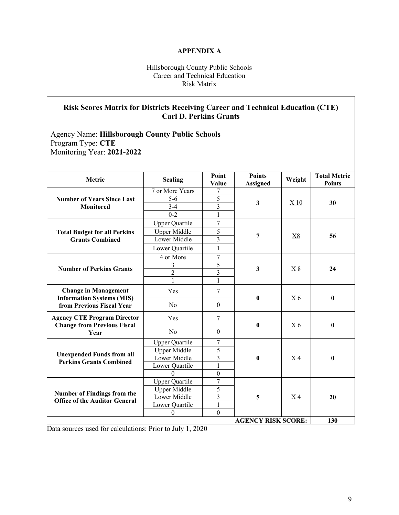#### **APPENDIX A**

#### Hillsborough County Public Schools Career and Technical Education Risk Matrix

# **Risk Scores Matrix for Districts Receiving Career and Technical Education (CTE) Carl D. Perkins Grants**

# Agency Name: **Hillsborough County Public Schools**  Program Type: **CTE**  Monitoring Year: **2021-2022**

| Metric                                                                   | <b>Scaling</b>        | Point<br>Value   | <b>Points</b><br><b>Assigned</b> | Weight           | <b>Total Metric</b><br><b>Points</b> |
|--------------------------------------------------------------------------|-----------------------|------------------|----------------------------------|------------------|--------------------------------------|
|                                                                          | 7 or More Years       | 7                | $\mathbf{3}$                     |                  | 30                                   |
| <b>Number of Years Since Last</b>                                        | $5 - 6$               | 5                |                                  |                  |                                      |
| <b>Monitored</b>                                                         | $3 - 4$               | $\overline{3}$   |                                  | X 10             |                                      |
|                                                                          | $0 - 2$               | 1                |                                  |                  |                                      |
|                                                                          | <b>Upper Quartile</b> | 7                |                                  | X8               |                                      |
| <b>Total Budget for all Perkins</b>                                      | <b>Upper Middle</b>   | 5                |                                  |                  |                                      |
| <b>Grants Combined</b>                                                   | Lower Middle          | $\overline{3}$   | 7                                |                  | 56                                   |
|                                                                          | Lower Quartile        | $\mathbf{1}$     |                                  |                  |                                      |
|                                                                          | 4 or More             | 7                |                                  | X8               | 24                                   |
|                                                                          | 3                     | 5                |                                  |                  |                                      |
| <b>Number of Perkins Grants</b>                                          | $\overline{2}$        | $\overline{3}$   | 3                                |                  |                                      |
|                                                                          | 1                     | 1                |                                  |                  |                                      |
| <b>Change in Management</b><br><b>Information Systems (MIS)</b>          | Yes                   | $\overline{7}$   | $\bf{0}$                         | X <sub>6</sub>   | $\bf{0}$                             |
| from Previous Fiscal Year                                                | No                    | $\boldsymbol{0}$ |                                  |                  |                                      |
| <b>Agency CTE Program Director</b><br><b>Change from Previous Fiscal</b> | Yes                   | $\overline{7}$   | $\bf{0}$                         | X <sub>6</sub>   | $\bf{0}$                             |
| Year                                                                     | No                    | $\boldsymbol{0}$ |                                  |                  |                                      |
|                                                                          | <b>Upper Quartile</b> | 7                | $\bf{0}$                         | <u>X4</u>        | $\bf{0}$                             |
| <b>Unexpended Funds from all</b>                                         | <b>Upper Middle</b>   | 5                |                                  |                  |                                      |
| <b>Perkins Grants Combined</b>                                           | Lower Middle          | 3                |                                  |                  |                                      |
|                                                                          | Lower Quartile        | $\mathbf{1}$     |                                  |                  |                                      |
|                                                                          | $\theta$              | $\boldsymbol{0}$ |                                  |                  |                                      |
|                                                                          | <b>Upper Quartile</b> | $\overline{7}$   |                                  |                  |                                      |
| <b>Number of Findings from the</b>                                       | <b>Upper Middle</b>   | 5                |                                  |                  |                                      |
| <b>Office of the Auditor General</b>                                     | Lower Middle          | 3                | 5                                | $\underline{X4}$ | 20                                   |
|                                                                          | Lower Quartile        | 1                |                                  |                  |                                      |
|                                                                          | $\overline{0}$        | $\mathbf{0}$     |                                  |                  |                                      |
|                                                                          |                       |                  | <b>AGENCY RISK SCORE:</b>        |                  | 130                                  |

Data sources used for calculations: Prior to July 1, 2020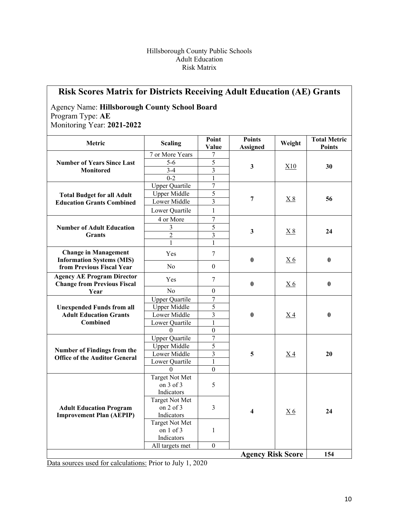#### Hillsborough County Public Schools Adult Education Risk Matrix

| <b>Risk Scores Matrix for Districts Receiving Adult Education (AE) Grants</b><br><b>Agency Name: Hillsborough County School Board</b><br>Program Type: AE<br>Monitoring Year: 2021-2022 |                                           |                         |                                  |           |                                      |
|-----------------------------------------------------------------------------------------------------------------------------------------------------------------------------------------|-------------------------------------------|-------------------------|----------------------------------|-----------|--------------------------------------|
| Metric                                                                                                                                                                                  | <b>Scaling</b>                            | Point<br>Value          | <b>Points</b><br><b>Assigned</b> | Weight    | <b>Total Metric</b><br><b>Points</b> |
|                                                                                                                                                                                         | 7 or More Years                           | 7                       |                                  |           |                                      |
| <b>Number of Years Since Last</b>                                                                                                                                                       | $5-6$                                     | 5                       | 3                                | X10       | 30                                   |
| <b>Monitored</b>                                                                                                                                                                        | $3-4$                                     | 3                       |                                  |           |                                      |
|                                                                                                                                                                                         | $0 - 2$                                   | $\mathbf{1}$            |                                  |           |                                      |
|                                                                                                                                                                                         | <b>Upper Quartile</b>                     | $\overline{7}$          |                                  |           | 56                                   |
| <b>Total Budget for all Adult</b>                                                                                                                                                       | <b>Upper Middle</b>                       | 5                       |                                  |           |                                      |
| <b>Education Grants Combined</b>                                                                                                                                                        | Lower Middle                              | 3                       | 7                                | X8        |                                      |
|                                                                                                                                                                                         | Lower Quartile                            | $\mathbf{1}$            |                                  |           |                                      |
|                                                                                                                                                                                         | 4 or More                                 | 7                       |                                  |           | 24                                   |
| <b>Number of Adult Education</b>                                                                                                                                                        | 3                                         | 5                       | $\mathbf{3}$                     |           |                                      |
| <b>Grants</b>                                                                                                                                                                           | $\overline{2}$                            | 3                       |                                  | X8        |                                      |
|                                                                                                                                                                                         | $\mathbf{1}$                              | $\mathbf{1}$            |                                  |           |                                      |
| <b>Change in Management</b>                                                                                                                                                             | Yes                                       | 7                       | $\bf{0}$                         |           | $\bf{0}$                             |
| <b>Information Systems (MIS)</b><br>from Previous Fiscal Year                                                                                                                           | No                                        | $\boldsymbol{0}$        |                                  | <u>X6</u> |                                      |
| <b>Agency AE Program Director</b><br><b>Change from Previous Fiscal</b>                                                                                                                 | Yes                                       | 7                       | $\bf{0}$                         | <u>X6</u> | $\bf{0}$                             |
| Year                                                                                                                                                                                    | No                                        | $\mathbf{0}$            |                                  |           |                                      |
|                                                                                                                                                                                         | <b>Upper Quartile</b>                     | 7                       |                                  |           |                                      |
| <b>Unexpended Funds from all</b>                                                                                                                                                        | <b>Upper Middle</b>                       | 5                       | $\bf{0}$                         | <u>X4</u> | $\bf{0}$                             |
| <b>Adult Education Grants</b>                                                                                                                                                           | Lower Middle                              | $\overline{\mathbf{3}}$ |                                  |           |                                      |
| Combined                                                                                                                                                                                | Lower Quartile                            | $\mathbf{1}$            |                                  |           |                                      |
|                                                                                                                                                                                         | $\Omega$                                  | $\boldsymbol{0}$        |                                  |           |                                      |
|                                                                                                                                                                                         | <b>Upper Quartile</b>                     | $\boldsymbol{7}$        |                                  |           |                                      |
|                                                                                                                                                                                         | <b>Upper Middle</b>                       | 5                       |                                  |           |                                      |
| Number of Findings from the<br><b>Office of the Auditor General</b>                                                                                                                     | Lower Middle                              | $\overline{\mathbf{3}}$ | 5                                | <u>X4</u> | 20                                   |
|                                                                                                                                                                                         | Lower Quartile                            | $\mathbf{1}$            |                                  |           |                                      |
|                                                                                                                                                                                         | $\theta$                                  | $\boldsymbol{0}$        |                                  |           |                                      |
|                                                                                                                                                                                         | Target Not Met<br>on 3 of 3<br>Indicators | 5                       |                                  |           |                                      |
| <b>Adult Education Program</b><br><b>Improvement Plan (AEPIP)</b>                                                                                                                       | Target Not Met<br>on 2 of 3<br>Indicators | 3                       | 4                                | <u>X6</u> | 24                                   |
|                                                                                                                                                                                         | Target Not Met<br>on 1 of 3<br>Indicators | 1                       |                                  |           |                                      |
|                                                                                                                                                                                         | All targets met                           | $\overline{0}$          |                                  |           |                                      |
|                                                                                                                                                                                         |                                           |                         | <b>Agency Risk Score</b>         |           | 154                                  |

Data sources used for calculations: Prior to July 1, 2020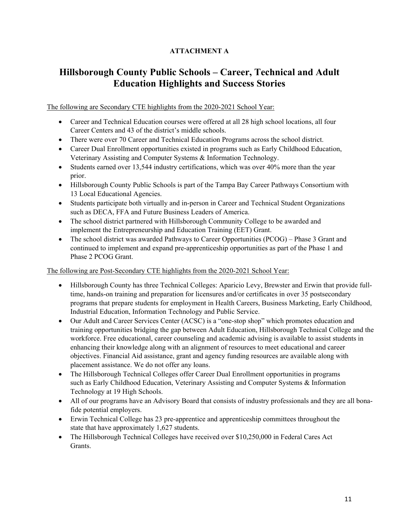# **ATTACHMENT A**

# **Hillsborough County Public Schools – Career, Technical and Adult Education Highlights and Success Stories**

# The following are Secondary CTE highlights from the 2020-2021 School Year:

- Career and Technical Education courses were offered at all 28 high school locations, all four Career Centers and 43 of the district's middle schools.
- There were over 70 Career and Technical Education Programs across the school district.
- Career Dual Enrollment opportunities existed in programs such as Early Childhood Education, Veterinary Assisting and Computer Systems & Information Technology.
- $\bullet$  Students earned over 13,544 industry certifications, which was over 40% more than the year prior.
- Hillsborough County Public Schools is part of the Tampa Bay Career Pathways Consortium with 13 Local Educational Agencies.
- Students participate both virtually and in-person in Career and Technical Student Organizations such as DECA, FFA and Future Business Leaders of America.
- The school district partnered with Hillsborough Community College to be awarded and implement the Entrepreneurship and Education Training (EET) Grant.
- The school district was awarded Pathways to Career Opportunities (PCOG) Phase 3 Grant and continued to implement and expand pre-apprenticeship opportunities as part of the Phase 1 and Phase 2 PCOG Grant.

# The following are Post-Secondary CTE highlights from the 2020-2021 School Year:

- Hillsborough County has three Technical Colleges: Aparicio Levy, Brewster and Erwin that provide fulltime, hands-on training and preparation for licensures and/or certificates in over 35 postsecondary programs that prepare students for employment in Health Careers, Business Marketing, Early Childhood, Industrial Education, Information Technology and Public Service.
- Our Adult and Career Services Center (ACSC) is a "one-stop shop" which promotes education and training opportunities bridging the gap between Adult Education, Hillsborough Technical College and the workforce. Free educational, career counseling and academic advising is available to assist students in enhancing their knowledge along with an alignment of resources to meet educational and career objectives. Financial Aid assistance, grant and agency funding resources are available along with placement assistance. We do not offer any loans.
- The Hillsborough Technical Colleges offer Career Dual Enrollment opportunities in programs such as Early Childhood Education, Veterinary Assisting and Computer Systems & Information Technology at 19 High Schools.
- All of our programs have an Advisory Board that consists of industry professionals and they are all bonafide potential employers.
- Erwin Technical College has 23 pre-apprentice and apprenticeship committees throughout the state that have approximately 1,627 students.
- The Hillsborough Technical Colleges have received over \$10,250,000 in Federal Cares Act Grants.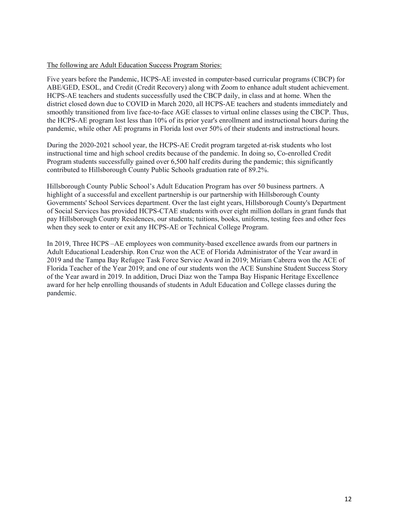#### The following are Adult Education Success Program Stories:

Five years before the Pandemic, HCPS-AE invested in computer-based curricular programs (CBCP) for ABE/GED, ESOL, and Credit (Credit Recovery) along with Zoom to enhance adult student achievement. HCPS-AE teachers and students successfully used the CBCP daily, in class and at home. When the district closed down due to COVID in March 2020, all HCPS-AE teachers and students immediately and smoothly transitioned from live face-to-face AGE classes to virtual online classes using the CBCP. Thus, the HCPS-AE program lost less than 10% of its prior year's enrollment and instructional hours during the pandemic, while other AE programs in Florida lost over 50% of their students and instructional hours.

During the 2020-2021 school year, the HCPS-AE Credit program targeted at-risk students who lost instructional time and high school credits because of the pandemic. In doing so, Co-enrolled Credit Program students successfully gained over 6,500 half credits during the pandemic; this significantly contributed to Hillsborough County Public Schools graduation rate of 89.2%.

Hillsborough County Public School's Adult Education Program has over 50 business partners. A highlight of a successful and excellent partnership is our partnership with Hillsborough County Governments' School Services department. Over the last eight years, Hillsborough County's Department of Social Services has provided HCPS-CTAE students with over eight million dollars in grant funds that pay Hillsborough County Residences, our students; tuitions, books, uniforms, testing fees and other fees when they seek to enter or exit any HCPS-AE or Technical College Program.

 of the Year award in 2019. In addition, Druci Diaz won the Tampa Bay Hispanic Heritage Excellence In 2019, Three HCPS –AE employees won community-based excellence awards from our partners in Adult Educational Leadership. Ron Cruz won the ACE of Florida Administrator of the Year award in 2019 and the Tampa Bay Refugee Task Force Service Award in 2019; Miriam Cabrera won the ACE of Florida Teacher of the Year 2019; and one of our students won the ACE Sunshine Student Success Story award for her help enrolling thousands of students in Adult Education and College classes during the pandemic.